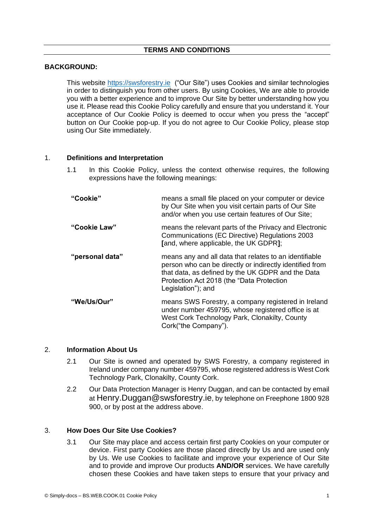# **TERMS AND CONDITIONS**

## **BACKGROUND:**

This website [https://swsforestry.ie](https://swsforestry.ie/) ("Our Site") uses Cookies and similar technologies in order to distinguish you from other users. By using Cookies, We are able to provide you with a better experience and to improve Our Site by better understanding how you use it. Please read this Cookie Policy carefully and ensure that you understand it. Your acceptance of Our Cookie Policy is deemed to occur when you press the "accept" button on Our Cookie pop-up. If you do not agree to Our Cookie Policy, please stop using Our Site immediately.

## 1. **Definitions and Interpretation**

1.1 In this Cookie Policy, unless the context otherwise requires, the following expressions have the following meanings:

| "Cookie"        | means a small file placed on your computer or device<br>by Our Site when you visit certain parts of Our Site<br>and/or when you use certain features of Our Site;                                                                           |  |
|-----------------|---------------------------------------------------------------------------------------------------------------------------------------------------------------------------------------------------------------------------------------------|--|
| "Cookie Law"    | means the relevant parts of the Privacy and Electronic<br>Communications (EC Directive) Regulations 2003<br>[and, where applicable, the UK GDPR];                                                                                           |  |
| "personal data" | means any and all data that relates to an identifiable<br>person who can be directly or indirectly identified from<br>that data, as defined by the UK GDPR and the Data<br>Protection Act 2018 (the "Data Protection"<br>Legislation"); and |  |
| "We/Us/Our"     | means SWS Forestry, a company registered in Ireland<br>under number 459795, whose registered office is at<br>West Cork Technology Park, Clonakilty, County<br>Cork("the Company").                                                          |  |

#### 2. **Information About Us**

- 2.1 Our Site is owned and operated by SWS Forestry, a company registered in Ireland under company number 459795, whose registered address is West Cork Technology Park, Clonakilty, County Cork.
- 2.2 Our Data Protection Manager is Henry Duggan, and can be contacted by email at Henry.Duggan@swsforestry.ie, by telephone on Freephone 1800 928 900, or by post at the address above.

# 3. **How Does Our Site Use Cookies?**

3.1 Our Site may place and access certain first party Cookies on your computer or device. First party Cookies are those placed directly by Us and are used only by Us. We use Cookies to facilitate and improve your experience of Our Site and to provide and improve Our products **AND/OR** services. We have carefully chosen these Cookies and have taken steps to ensure that your privacy and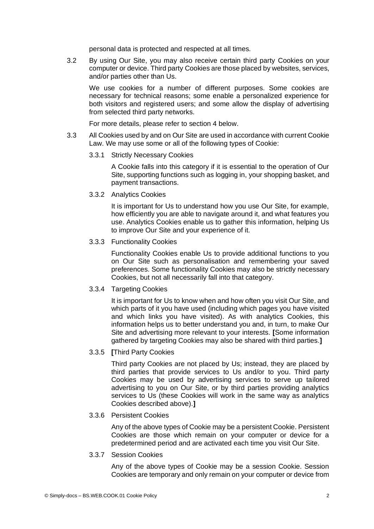personal data is protected and respected at all times.

3.2 By using Our Site, you may also receive certain third party Cookies on your computer or device. Third party Cookies are those placed by websites, services, and/or parties other than Us.

We use cookies for a number of different purposes. Some cookies are necessary for technical reasons; some enable a personalized experience for both visitors and registered users; and some allow the display of advertising from selected third party networks.

For more details, please refer to section 4 below.

- 3.3 All Cookies used by and on Our Site are used in accordance with current Cookie Law. We may use some or all of the following types of Cookie:
	- 3.3.1 Strictly Necessary Cookies

A Cookie falls into this category if it is essential to the operation of Our Site, supporting functions such as logging in, your shopping basket, and payment transactions.

3.3.2 Analytics Cookies

It is important for Us to understand how you use Our Site, for example, how efficiently you are able to navigate around it, and what features you use. Analytics Cookies enable us to gather this information, helping Us to improve Our Site and your experience of it.

3.3.3 Functionality Cookies

Functionality Cookies enable Us to provide additional functions to you on Our Site such as personalisation and remembering your saved preferences. Some functionality Cookies may also be strictly necessary Cookies, but not all necessarily fall into that category.

3.3.4 Targeting Cookies

It is important for Us to know when and how often you visit Our Site, and which parts of it you have used (including which pages you have visited and which links you have visited). As with analytics Cookies, this information helps us to better understand you and, in turn, to make Our Site and advertising more relevant to your interests. **[**Some information gathered by targeting Cookies may also be shared with third parties.**]**

3.3.5 **[**Third Party Cookies

Third party Cookies are not placed by Us; instead, they are placed by third parties that provide services to Us and/or to you. Third party Cookies may be used by advertising services to serve up tailored advertising to you on Our Site, or by third parties providing analytics services to Us (these Cookies will work in the same way as analytics Cookies described above).**]**

#### 3.3.6 Persistent Cookies

Any of the above types of Cookie may be a persistent Cookie. Persistent Cookies are those which remain on your computer or device for a predetermined period and are activated each time you visit Our Site.

3.3.7 Session Cookies

Any of the above types of Cookie may be a session Cookie. Session Cookies are temporary and only remain on your computer or device from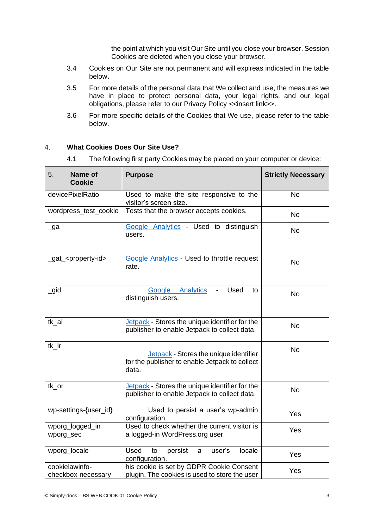the point at which you visit Our Site until you close your browser. Session Cookies are deleted when you close your browser.

- 3.4 Cookies on Our Site are not permanent and will expireas indicated in the table below**.**
- 3.5 For more details of the personal data that We collect and use, the measures we have in place to protect personal data, your legal rights, and our legal obligations, please refer to our Privacy Policy <<insert link>>.
- 3.6 For more specific details of the Cookies that We use, please refer to the table below.

# 4. **What Cookies Does Our Site Use?**

4.1 The following first party Cookies may be placed on your computer or device:

| Name of<br>5.<br><b>Cookie</b>       | <b>Purpose</b>                                                                                    | <b>Strictly Necessary</b> |
|--------------------------------------|---------------------------------------------------------------------------------------------------|---------------------------|
| devicePixelRatio                     | Used to make the site responsive to the<br>visitor's screen size.                                 | <b>No</b>                 |
| wordpress_test_cookie                | Tests that the browser accepts cookies.                                                           | <b>No</b>                 |
| $\Box$ ga                            | Google Analytics - Used to distinguish<br>users.                                                  | No                        |
| _gat_ <property-id></property-id>    | <b>Google Analytics - Used to throttle request</b><br>rate.                                       | <b>No</b>                 |
| $\_$ gid                             | Analytics<br>Used<br>Google<br>to<br>distinguish users.                                           | <b>No</b>                 |
| tk_ai                                | Jetpack - Stores the unique identifier for the<br>publisher to enable Jetpack to collect data.    | <b>No</b>                 |
| tk Ir                                | Jetpack - Stores the unique identifier<br>for the publisher to enable Jetpack to collect<br>data. | <b>No</b>                 |
| tk_or                                | Jetpack - Stores the unique identifier for the<br>publisher to enable Jetpack to collect data.    | <b>No</b>                 |
| wp-settings-{user_id}                | Used to persist a user's wp-admin<br>configuration.                                               | Yes                       |
| wporg_logged_in<br>wporg_sec         | Used to check whether the current visitor is<br>a logged-in WordPress.org user.                   | Yes                       |
| wporg_locale                         | <b>Used</b><br>persist<br>user's<br>locale<br>to<br>a<br>configuration.                           | Yes                       |
| cookielawinfo-<br>checkbox-necessary | his cookie is set by GDPR Cookie Consent<br>plugin. The cookies is used to store the user         | Yes                       |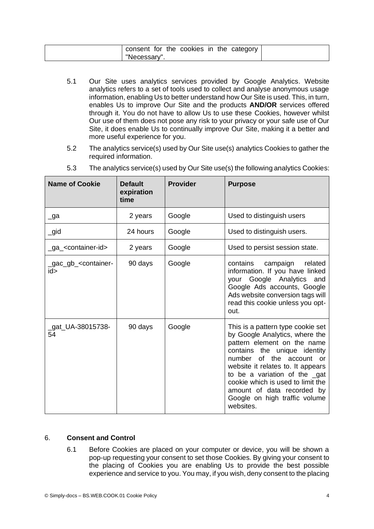| consent for the cookies in the category ' |  |
|-------------------------------------------|--|
| "Necessary"                               |  |

- 5.1 Our Site uses analytics services provided by Google Analytics. Website analytics refers to a set of tools used to collect and analyse anonymous usage information, enabling Us to better understand how Our Site is used. This, in turn, enables Us to improve Our Site and the products **AND/OR** services offered through it. You do not have to allow Us to use these Cookies, however whilst Our use of them does not pose any risk to your privacy or your safe use of Our Site, it does enable Us to continually improve Our Site, making it a better and more useful experience for you.
- 5.2 The analytics service(s) used by Our Site use(s) analytics Cookies to gather the required information.

| <b>Name of Cookie</b>                          | <b>Default</b><br>expiration<br>time | <b>Provider</b> | <b>Purpose</b>                                                                                                                                                                                                                                                                                                                                                   |
|------------------------------------------------|--------------------------------------|-----------------|------------------------------------------------------------------------------------------------------------------------------------------------------------------------------------------------------------------------------------------------------------------------------------------------------------------------------------------------------------------|
| $\lrcorner$ ga                                 | 2 years                              | Google          | Used to distinguish users                                                                                                                                                                                                                                                                                                                                        |
| $\_$ gid                                       | 24 hours                             | Google          | Used to distinguish users.                                                                                                                                                                                                                                                                                                                                       |
| _ga_ <container-id></container-id>             | 2 years                              | Google          | Used to persist session state.                                                                                                                                                                                                                                                                                                                                   |
| _gac_gb_ <container-<br>id&gt;</container-<br> | 90 days                              | Google          | contains<br>campaign<br>related<br>information. If you have linked<br>your Google Analytics and<br>Google Ads accounts, Google<br>Ads website conversion tags will<br>read this cookie unless you opt-<br>out.                                                                                                                                                   |
| _gat_UA-38015738-<br>54                        | 90 days                              | Google          | This is a pattern type cookie set<br>by Google Analytics, where the<br>pattern element on the name<br>contains the unique identity<br>of the account<br>number<br>$\alpha$<br>website it relates to. It appears<br>to be a variation of the gat<br>cookie which is used to limit the<br>amount of data recorded by<br>Google on high traffic volume<br>websites. |

5.3 The analytics service(s) used by Our Site use(s) the following analytics Cookies:

# 6. **Consent and Control**

6.1 Before Cookies are placed on your computer or device, you will be shown a pop-up requesting your consent to set those Cookies. By giving your consent to the placing of Cookies you are enabling Us to provide the best possible experience and service to you. You may, if you wish, deny consent to the placing